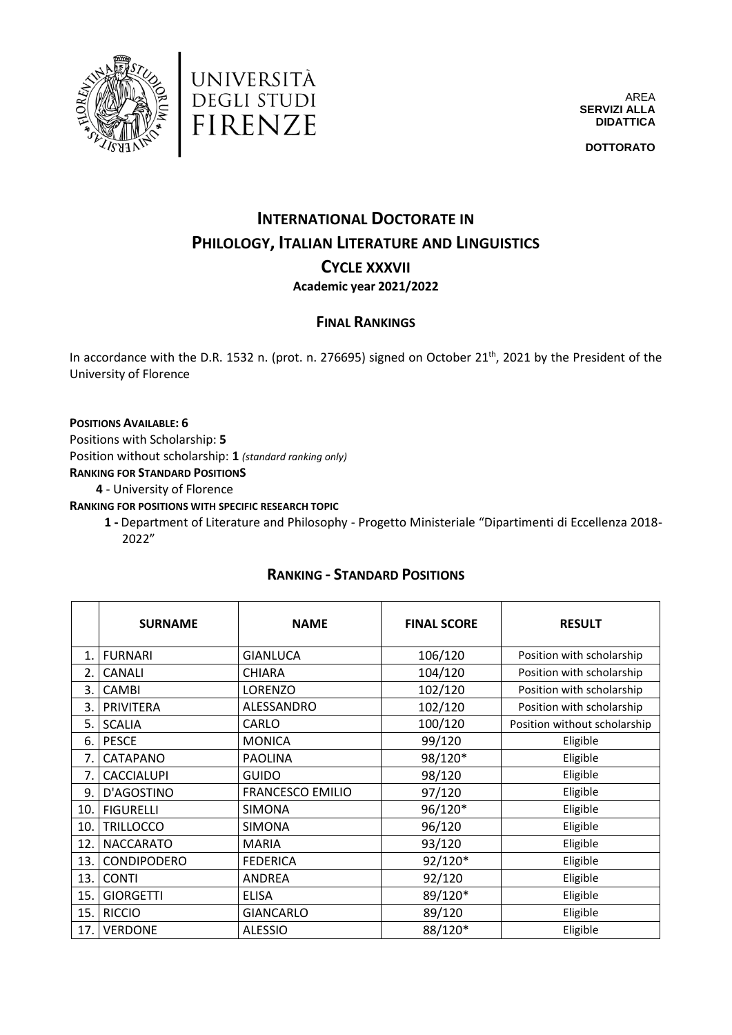



AREA **SERVIZI ALLA DIDATTICA**

**DOTTORATO**

# **INTERNATIONAL DOCTORATE IN PHILOLOGY, ITALIAN LITERATURE AND LINGUISTICS CYCLE XXXVII**

### **Academic year 2021/2022**

### **FINAL RANKINGS**

In accordance with the D.R. 1532 n. (prot. n. 276695) signed on October 21<sup>th</sup>, 2021 by the President of the University of Florence

#### **POSITIONS AVAILABLE: 6**

Positions with Scholarship: **5**

Position without scholarship: **1** *(standard ranking only)*

**RANKING FOR STANDARD POSITIONS**

**4** - University of Florence

**RANKING FOR POSITIONS WITH SPECIFIC RESEARCH TOPIC**

**1 -** Department of Literature and Philosophy - Progetto Ministeriale "Dipartimenti di Eccellenza 2018- 2022"

### **RANKING - STANDARD POSITIONS**

|     | <b>SURNAME</b>     | <b>NAME</b>      | <b>FINAL SCORE</b> | <b>RESULT</b>                |
|-----|--------------------|------------------|--------------------|------------------------------|
| 1.  | <b>FURNARI</b>     | <b>GIANLUCA</b>  | 106/120            | Position with scholarship    |
| 2.  | <b>CANALI</b>      | <b>CHIARA</b>    | 104/120            | Position with scholarship    |
| 3.  | <b>CAMBI</b>       | LORENZO          | 102/120            | Position with scholarship    |
| 3.  | PRIVITERA          | ALESSANDRO       | 102/120            | Position with scholarship    |
| 5.  | <b>SCALIA</b>      | CARLO            | 100/120            | Position without scholarship |
| 6.  | <b>PESCE</b>       | <b>MONICA</b>    | 99/120             | Eligible                     |
| 7.  | CATAPANO           | <b>PAOLINA</b>   | 98/120*            | Eligible                     |
| 7.  | <b>CACCIALUPI</b>  | <b>GUIDO</b>     | 98/120             | Eligible                     |
| 9.  | D'AGOSTINO         | FRANCESCO EMILIO | 97/120             | Eligible                     |
| 10. | <b>FIGURELLI</b>   | <b>SIMONA</b>    | 96/120*            | Eligible                     |
| 10. | <b>TRILLOCCO</b>   | <b>SIMONA</b>    | 96/120             | Eligible                     |
| 12. | <b>NACCARATO</b>   | <b>MARIA</b>     | 93/120             | Eligible                     |
| 13. | <b>CONDIPODERO</b> | <b>FEDERICA</b>  | 92/120*            | Eligible                     |
| 13. | <b>CONTI</b>       | <b>ANDREA</b>    | 92/120             | Eligible                     |
| 15. | <b>GIORGETTI</b>   | <b>ELISA</b>     | 89/120*            | Eligible                     |
| 15. | <b>RICCIO</b>      | <b>GIANCARLO</b> | 89/120             | Eligible                     |
| 17. | <b>VERDONE</b>     | <b>ALESSIO</b>   | 88/120*            | Eligible                     |